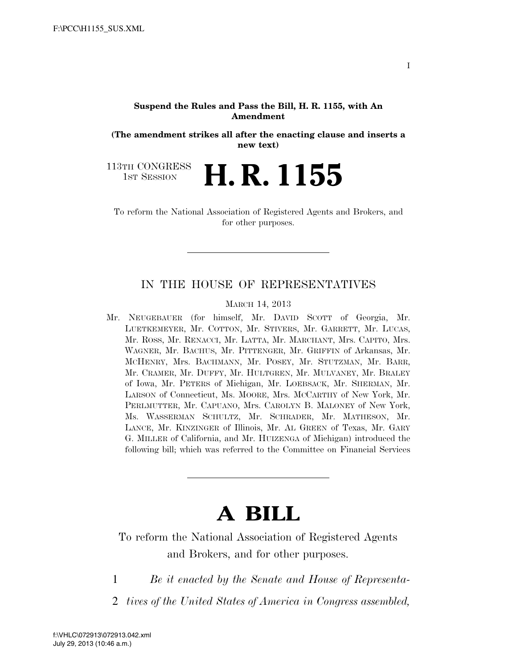#### **Suspend the Rules and Pass the Bill, H. R. 1155, with An Amendment**

**(The amendment strikes all after the enacting clause and inserts a new text)** 

H. R. 1155

113TH CONGRESS<br>1st Session

To reform the National Association of Registered Agents and Brokers, and for other purposes.

# IN THE HOUSE OF REPRESENTATIVES

MARCH 14, 2013

Mr. NEUGEBAUER (for himself, Mr. DAVID SCOTT of Georgia, Mr. LUETKEMEYER, Mr. COTTON, Mr. STIVERS, Mr. GARRETT, Mr. LUCAS, Mr. ROSS, Mr. RENACCI, Mr. LATTA, Mr. MARCHANT, Mrs. CAPITO, Mrs. WAGNER, Mr. BACHUS, Mr. PITTENGER, Mr. GRIFFIN of Arkansas, Mr. MCHENRY, Mrs. BACHMANN, Mr. POSEY, Mr. STUTZMAN, Mr. BARR, Mr. CRAMER, Mr. DUFFY, Mr. HULTGREN, Mr. MULVANEY, Mr. BRALEY of Iowa, Mr. PETERS of Michigan, Mr. LOEBSACK, Mr. SHERMAN, Mr. LARSON of Connecticut, Ms. MOORE, Mrs. MCCARTHY of New York, Mr. PERLMUTTER, Mr. CAPUANO, Mrs. CAROLYN B. MALONEY of New York, Ms. WASSERMAN SCHULTZ, Mr. SCHRADER, Mr. MATHESON, Mr. LANCE, Mr. KINZINGER of Illinois, Mr. AL GREEN of Texas, Mr. GARY G. MILLER of California, and Mr. HUIZENGA of Michigan) introduced the following bill; which was referred to the Committee on Financial Services

# **A BILL**

To reform the National Association of Registered Agents and Brokers, and for other purposes.

1 *Be it enacted by the Senate and House of Representa-*

2 *tives of the United States of America in Congress assembled,*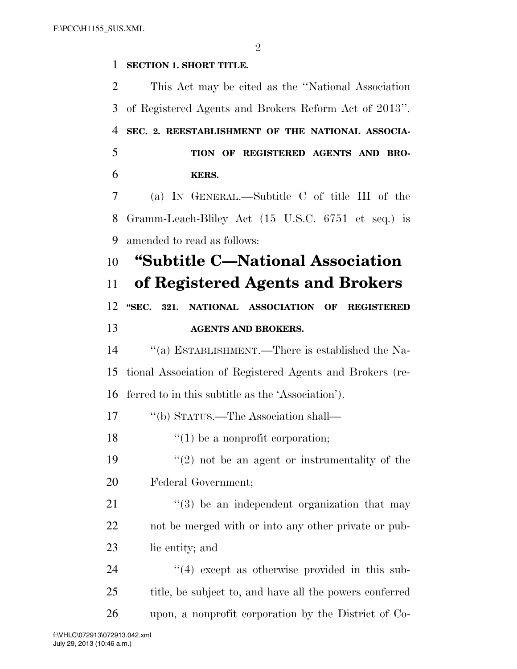#### $\mathfrak{D}$

### **SECTION 1. SHORT TITLE.**

 This Act may be cited as the ''National Association of Registered Agents and Brokers Reform Act of 2013''. **SEC. 2. REESTABLISHMENT OF THE NATIONAL ASSOCIA- TION OF REGISTERED AGENTS AND BRO- KERS.**  (a) IN GENERAL.—Subtitle C of title III of the Gramm-Leach-Bliley Act (15 U.S.C. 6751 et seq.) is amended to read as follows: **''Subtitle C—National Association of Registered Agents and Brokers ''SEC. 321. NATIONAL ASSOCIATION OF REGISTERED AGENTS AND BROKERS.**  ''(a) ESTABLISHMENT.—There is established the Na- tional Association of Registered Agents and Brokers (re- ferred to in this subtitle as the 'Association'). ''(b) STATUS.—The Association shall—  $\frac{1}{2}$  (1) be a nonprofit corporation;  $(2)$  not be an agent or instrumentality of the Federal Government;  $\frac{1}{2}$  (3) be an independent organization that may not be merged with or into any other private or pub- lic entity; and 24 ''(4) except as otherwise provided in this sub- title, be subject to, and have all the powers conferred upon, a nonprofit corporation by the District of Co-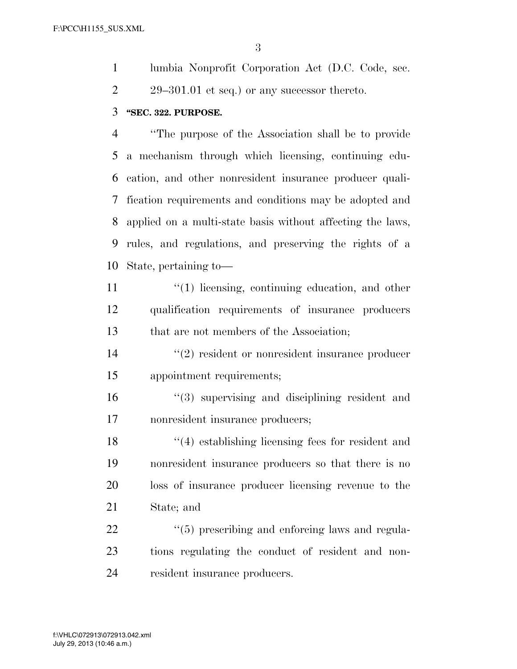lumbia Nonprofit Corporation Act (D.C. Code, sec. 2 29–301.01 et seq.) or any successor thereto.

# **''SEC. 322. PURPOSE.**

 ''The purpose of the Association shall be to provide a mechanism through which licensing, continuing edu- cation, and other nonresident insurance producer quali- fication requirements and conditions may be adopted and applied on a multi-state basis without affecting the laws, rules, and regulations, and preserving the rights of a State, pertaining to—

- 11 ''(1) licensing, continuing education, and other qualification requirements of insurance producers that are not members of the Association;
- 14  $(2)$  resident or nonresident insurance producer appointment requirements;
- ''(3) supervising and disciplining resident and nonresident insurance producers;

18 ''(4) establishing licensing fees for resident and nonresident insurance producers so that there is no loss of insurance producer licensing revenue to the State; and

22  $\frac{4}{5}$  prescribing and enforcing laws and regula- tions regulating the conduct of resident and non-resident insurance producers.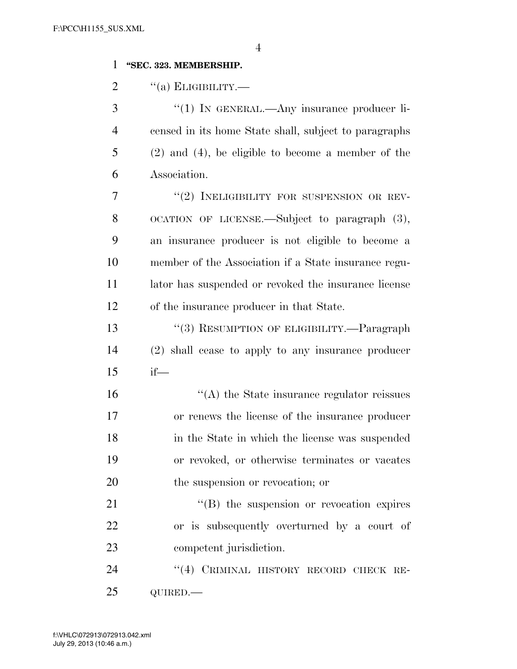### **''SEC. 323. MEMBERSHIP.**

"(a) ELIGIBILITY.—

3 "(1) IN GENERAL.—Any insurance producer li- censed in its home State shall, subject to paragraphs (2) and (4), be eligible to become a member of the Association.

7 "(2) INELIGIBILITY FOR SUSPENSION OR REV- OCATION OF LICENSE.—Subject to paragraph (3), an insurance producer is not eligible to become a member of the Association if a State insurance regu- lator has suspended or revoked the insurance license of the insurance producer in that State.

13 "(3) RESUMPTION OF ELIGIBILITY.—Paragraph (2) shall cease to apply to any insurance producer if—

 $\langle (A)$  the State insurance regulator reissues or renews the license of the insurance producer in the State in which the license was suspended or revoked, or otherwise terminates or vacates the suspension or revocation; or

21  $\text{``(B)}$  the suspension or revocation expires or is subsequently overturned by a court of competent jurisdiction.

24 "(4) CRIMINAL HISTORY RECORD CHECK RE-QUIRED.—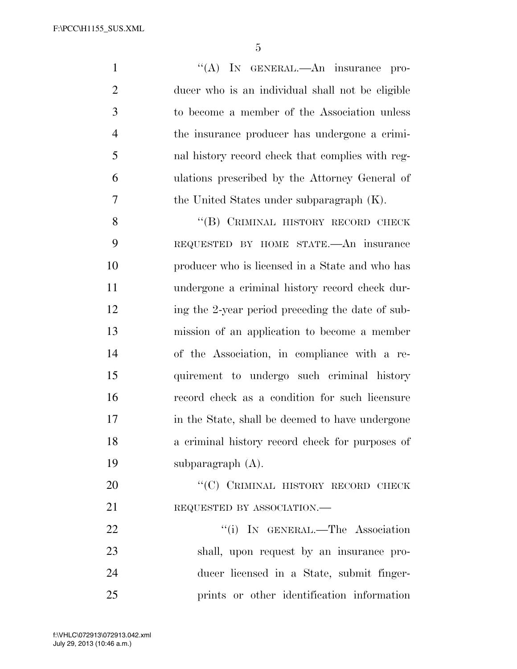1 ''(A) In GENERAL.—An insurance pro- ducer who is an individual shall not be eligible to become a member of the Association unless the insurance producer has undergone a crimi- nal history record check that complies with reg- ulations prescribed by the Attorney General of the United States under subparagraph (K).

8 "(B) CRIMINAL HISTORY RECORD CHECK REQUESTED BY HOME STATE.—An insurance producer who is licensed in a State and who has undergone a criminal history record check dur-12 ing the 2-year period preceding the date of sub- mission of an application to become a member of the Association, in compliance with a re- quirement to undergo such criminal history record check as a condition for such licensure in the State, shall be deemed to have undergone a criminal history record check for purposes of subparagraph (A).

20 "'(C) CRIMINAL HISTORY RECORD CHECK 21 REQUESTED BY ASSOCIATION.—

22 "(i) IN GENERAL.—The Association shall, upon request by an insurance pro- ducer licensed in a State, submit finger-prints or other identification information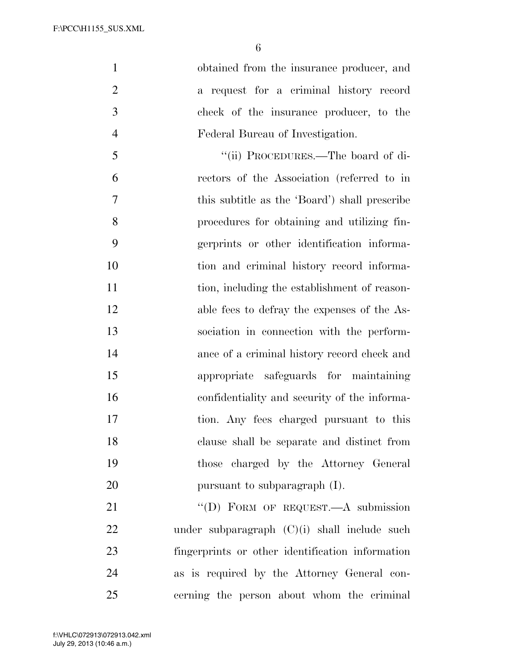obtained from the insurance producer, and a request for a criminal history record check of the insurance producer, to the Federal Bureau of Investigation.

5 "(ii) PROCEDURES.—The board of di- rectors of the Association (referred to in this subtitle as the 'Board') shall prescribe procedures for obtaining and utilizing fin- gerprints or other identification informa- tion and criminal history record informa-11 tion, including the establishment of reason- able fees to defray the expenses of the As- sociation in connection with the perform- ance of a criminal history record check and appropriate safeguards for maintaining confidentiality and security of the informa- tion. Any fees charged pursuant to this clause shall be separate and distinct from those charged by the Attorney General 20 pursuant to subparagraph (I).

21 "'(D) FORM OF REQUEST.—A submission under subparagraph (C)(i) shall include such fingerprints or other identification information as is required by the Attorney General con-cerning the person about whom the criminal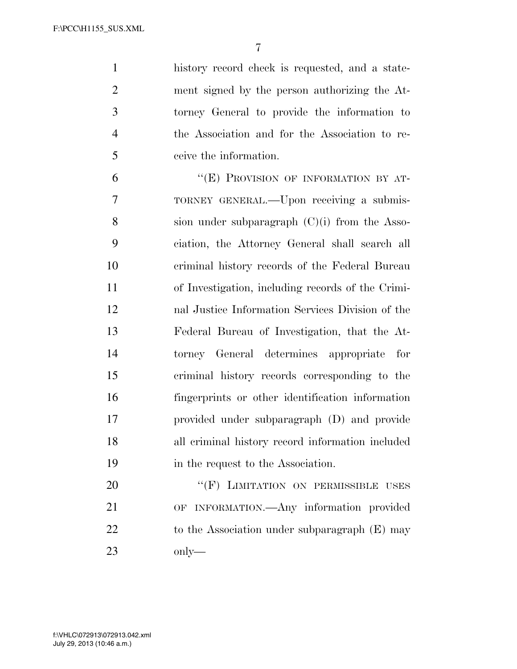history record check is requested, and a state- ment signed by the person authorizing the At- torney General to provide the information to the Association and for the Association to re-ceive the information.

6 "(E) PROVISION OF INFORMATION BY AT- TORNEY GENERAL.—Upon receiving a submis- sion under subparagraph (C)(i) from the Asso- ciation, the Attorney General shall search all criminal history records of the Federal Bureau of Investigation, including records of the Crimi- nal Justice Information Services Division of the Federal Bureau of Investigation, that the At- torney General determines appropriate for criminal history records corresponding to the fingerprints or other identification information provided under subparagraph (D) and provide all criminal history record information included 19 in the request to the Association.

20 "(F) LIMITATION ON PERMISSIBLE USES OF INFORMATION.—Any information provided 22 to the Association under subparagraph (E) may only—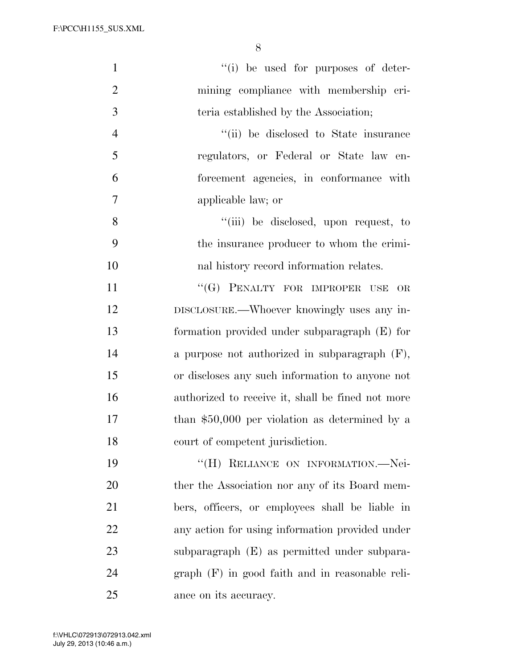| $\mathbf{1}$   | "(i) be used for purposes of deter-               |
|----------------|---------------------------------------------------|
| $\overline{2}$ | mining compliance with membership cri-            |
| 3              | teria established by the Association;             |
| $\overline{4}$ | "(ii) be disclosed to State insurance             |
| 5              | regulators, or Federal or State law en-           |
| 6              | forcement agencies, in conformance with           |
| $\overline{7}$ | applicable law; or                                |
| 8              | "(iii) be disclosed, upon request, to             |
| 9              | the insurance producer to whom the crimi-         |
| 10             | nal history record information relates.           |
| 11             | "(G) PENALTY FOR IMPROPER USE<br>OR               |
| 12             | DISCLOSURE.—Whoever knowingly uses any in-        |
| 13             | formation provided under subparagraph $(E)$ for   |
| 14             | a purpose not authorized in subparagraph $(F)$ ,  |
| 15             | or discloses any such information to anyone not   |
| 16             | authorized to receive it, shall be fined not more |
| 17             | than $$50,000$ per violation as determined by a   |
| 18             | court of competent jurisdiction.                  |
| 19             | "(H) RELIANCE ON INFORMATION.-Nei-                |
| 20             | ther the Association nor any of its Board mem-    |
| 21             | bers, officers, or employees shall be liable in   |
| 22             | any action for using information provided under   |
| 23             | subparagraph (E) as permitted under subpara-      |
| 24             | $graph$ (F) in good faith and in reasonable reli- |
| 25             | ance on its accuracy.                             |

 $V_{\rm eff}$  ) and 00000  $P_{\rm eff}$  is a state of the documental  $\Delta$  . The documental  $\Delta$  is a state of the documental  $\Delta$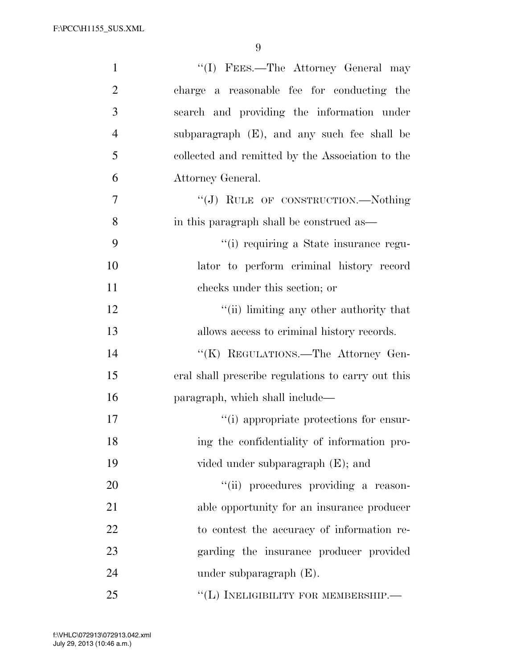| $\mathbf{1}$   | "(I) FEES.—The Attorney General may                |
|----------------|----------------------------------------------------|
| $\overline{2}$ | charge a reasonable fee for conducting the         |
| 3              | search and providing the information under         |
| $\overline{4}$ | subparagraph (E), and any such fee shall be        |
| 5              | collected and remitted by the Association to the   |
| 6              | Attorney General.                                  |
| 7              | "(J) RULE OF CONSTRUCTION.—Nothing                 |
| 8              | in this paragraph shall be construed as—           |
| 9              | "(i) requiring a State insurance regu-             |
| 10             | lator to perform criminal history record           |
| 11             | checks under this section; or                      |
| 12             | "(ii) limiting any other authority that            |
| 13             | allows access to criminal history records.         |
| 14             | "(K) REGULATIONS.—The Attorney Gen-                |
| 15             | eral shall prescribe regulations to carry out this |
| 16             | paragraph, which shall include—                    |
| 17             | "(i) appropriate protections for ensur-            |
| 18             | ing the confidentiality of information pro-        |
| 19             | vided under subparagraph $(E)$ ; and               |
| 20             | "(ii) procedures providing a reason-               |
| 21             | able opportunity for an insurance producer         |
| 22             | to contest the accuracy of information re-         |
| 23             | garding the insurance producer provided            |
| 24             | under subparagraph $(E)$ .                         |
| 25             | "(L) INELIGIBILITY FOR MEMBERSHIP.-                |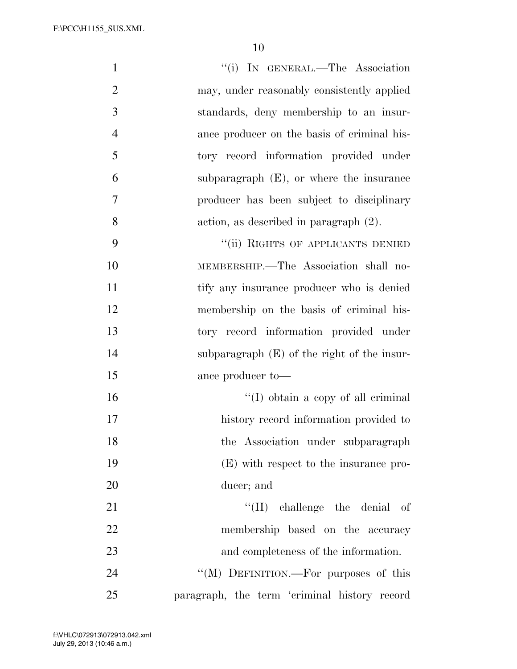| $\mathbf{1}$   | "(i) IN GENERAL.—The Association              |
|----------------|-----------------------------------------------|
| $\overline{2}$ | may, under reasonably consistently applied    |
| 3              | standards, deny membership to an insur-       |
| $\overline{4}$ | ance producer on the basis of criminal his-   |
| 5              | tory record information provided under        |
| 6              | subparagraph $(E)$ , or where the insurance   |
| 7              | producer has been subject to disciplinary     |
| 8              | action, as described in paragraph $(2)$ .     |
| 9              | "(ii) RIGHTS OF APPLICANTS DENIED             |
| 10             | MEMBERSHIP.—The Association shall no-         |
| 11             | tify any insurance producer who is denied     |
| 12             | membership on the basis of criminal his-      |
| 13             | tory record information provided under        |
| 14             | subparagraph $(E)$ of the right of the insur- |
| 15             | ance producer to-                             |
| 16             | $\lq\lq$ (I) obtain a copy of all criminal    |
| 17             | history record information provided to        |
| 18             | the Association under subparagraph            |
| 19             | (E) with respect to the insurance pro-        |
| 20             | ducer; and                                    |
| 21             | $\lq\lq$ (II) challenge the denial of         |
| 22             | membership based on the accuracy              |
| 23             | and completeness of the information.          |
| 24             | "(M) DEFINITION.—For purposes of this         |
| 25             | paragraph, the term 'criminal history record  |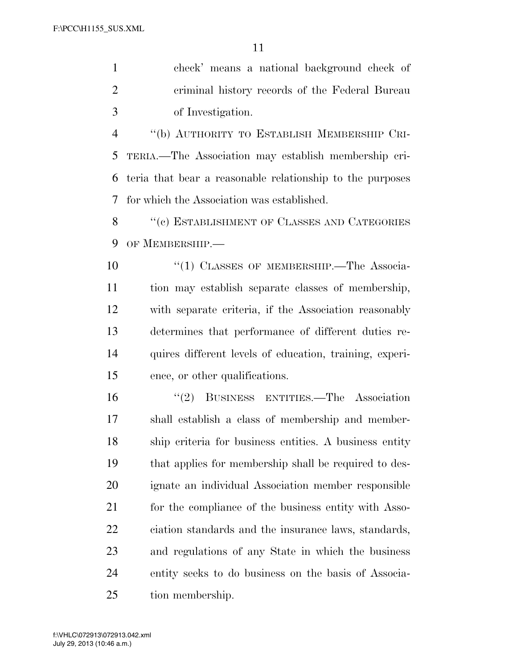check' means a national background check of criminal history records of the Federal Bureau of Investigation.

 ''(b) AUTHORITY TO ESTABLISH MEMBERSHIP CRI- TERIA.—The Association may establish membership cri- teria that bear a reasonable relationship to the purposes for which the Association was established.

8 "(c) ESTABLISHMENT OF CLASSES AND CATEGORIES OF MEMBERSHIP.—

10 <sup>"</sup>(1) CLASSES OF MEMBERSHIP.—The Associa- tion may establish separate classes of membership, with separate criteria, if the Association reasonably determines that performance of different duties re- quires different levels of education, training, experi-ence, or other qualifications.

 ''(2) BUSINESS ENTITIES.—The Association shall establish a class of membership and member- ship criteria for business entities. A business entity that applies for membership shall be required to des- ignate an individual Association member responsible 21 for the compliance of the business entity with Asso- ciation standards and the insurance laws, standards, and regulations of any State in which the business entity seeks to do business on the basis of Associa-tion membership.

 $V_{\rm eff}$  ) and 00000  $P_{\rm eff}$  is a state of the documental  $\Delta$  . The documental  $\Delta$  is a state of the documental  $\Delta$ 

July 29, 2013 (10:46 a.m.) f:\VHLC\072913\072913.042.xml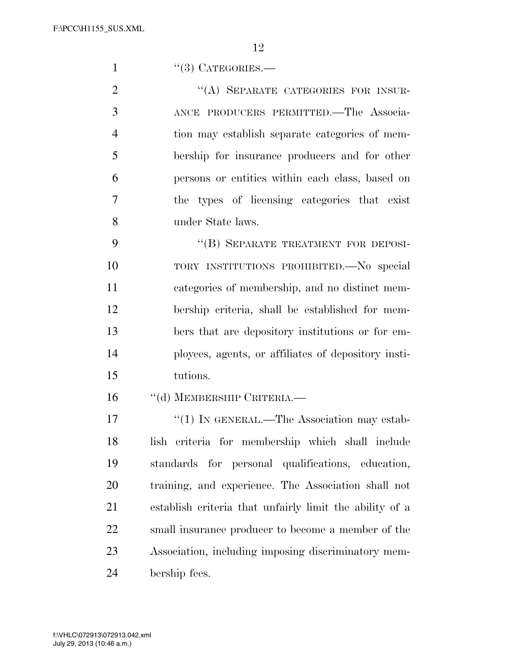1 "(3) CATEGORIES.—

2 "(A) SEPARATE CATEGORIES FOR INSUR- ANCE PRODUCERS PERMITTED.—The Associa- tion may establish separate categories of mem- bership for insurance producers and for other persons or entities within each class, based on the types of licensing categories that exist under State laws.

9 "(B) SEPARATE TREATMENT FOR DEPOSI- TORY INSTITUTIONS PROHIBITED.—No special categories of membership, and no distinct mem- bership criteria, shall be established for mem- bers that are depository institutions or for em- ployees, agents, or affiliates of depository insti-tutions.

16 "(d) MEMBERSHIP CRITERIA.—

17 <sup>''</sup>(1) IN GENERAL.—The Association may estab- lish criteria for membership which shall include standards for personal qualifications, education, training, and experience. The Association shall not establish criteria that unfairly limit the ability of a small insurance producer to become a member of the Association, including imposing discriminatory mem-bership fees.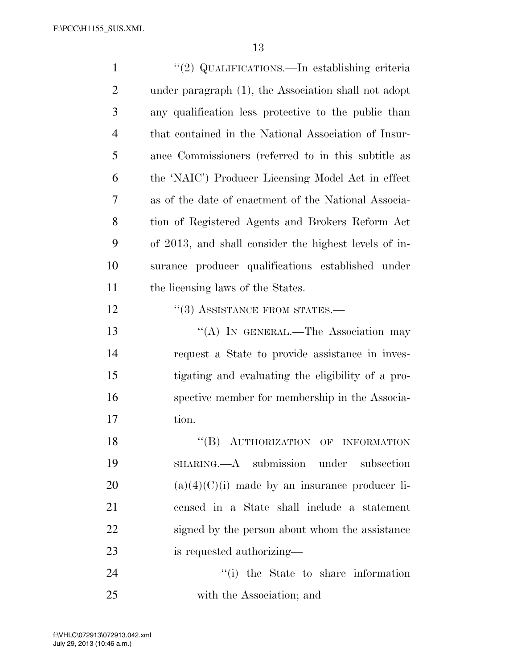| $\mathbf{1}$   | "(2) QUALIFICATIONS.—In establishing criteria         |
|----------------|-------------------------------------------------------|
| $\overline{2}$ | under paragraph (1), the Association shall not adopt  |
| 3              | any qualification less protective to the public than  |
| $\overline{4}$ | that contained in the National Association of Insur-  |
| 5              | ance Commissioners (referred to in this subtitle as   |
| 6              | the 'NAIC') Producer Licensing Model Act in effect    |
| 7              | as of the date of enactment of the National Associa-  |
| 8              | tion of Registered Agents and Brokers Reform Act      |
| 9              | of 2013, and shall consider the highest levels of in- |
| 10             | surance producer qualifications established under     |
| 11             | the licensing laws of the States.                     |
| 12             | $``(3)$ ASSISTANCE FROM STATES.—                      |
| 13             | "(A) IN GENERAL.—The Association may                  |
| 14             | request a State to provide assistance in inves-       |
| 15             | tigating and evaluating the eligibility of a pro-     |
| 16             | spective member for membership in the Associa-        |
| 17             | tion.                                                 |
| 18             | "(B) AUTHORIZATION OF INFORMATION                     |
| 19             | SHARING.—A submission under subsection                |
| 20             | $(a)(4)(C)(i)$ made by an insurance producer li-      |
| 21             | censed in a State shall include a statement           |
| 22             | signed by the person about whom the assistance        |
| 23             | is requested authorizing—                             |
| 24             | "(i) the State to share information                   |

with the Association; and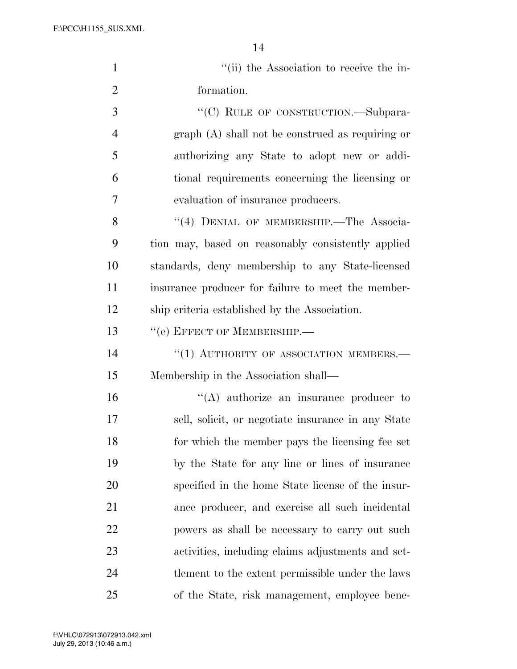| $\mathbf{1}$   | "(ii) the Association to receive the in-           |
|----------------|----------------------------------------------------|
| $\overline{2}$ | formation.                                         |
| 3              | "(C) RULE OF CONSTRUCTION.—Subpara-                |
| $\overline{4}$ | $graph(A)$ shall not be construed as requiring or  |
| 5              | authorizing any State to adopt new or addi-        |
| 6              | tional requirements concerning the licensing or    |
| 7              | evaluation of insurance producers.                 |
| 8              | "(4) DENIAL OF MEMBERSHIP.—The Associa-            |
| 9              | tion may, based on reasonably consistently applied |
| 10             | standards, deny membership to any State-licensed   |
| 11             | insurance producer for failure to meet the member- |
| 12             | ship criteria established by the Association.      |
| 13             | "(e) EFFECT OF MEMBERSHIP.-                        |
| 14             | $``(1)$ AUTHORITY OF ASSOCIATION MEMBERS.—         |
| 15             | Membership in the Association shall—               |
| 16             | $\lq\lq$ authorize an insurance producer to        |
| 17             | sell, solicit, or negotiate insurance in any State |
| 18             | for which the member pays the licensing fee set    |
| 19             | by the State for any line or lines of insurance    |
| 20             | specified in the home State license of the insur-  |
| 21             | ance producer, and exercise all such incidental    |
| 22             | powers as shall be necessary to carry out such     |
| 23             | activities, including claims adjustments and set-  |
| 24             | the the extent permissible under the laws          |
| 25             | of the State, risk management, employee bene-      |

 $V_{\rm eff}$  ) and 00000  $P_{\rm eff}$  fm  $\sim$  2013  $\mu$   $\sim$  2013  $\mu$   $\sim$  1.3.46  $\mu$   $\sim$  1.3.5  $\mu$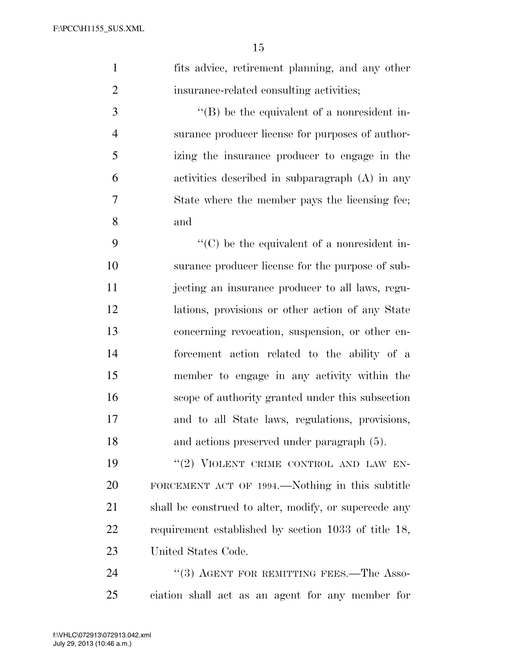| $\mathbf{1}$   | fits advice, retirement planning, and any other       |
|----------------|-------------------------------------------------------|
| $\overline{2}$ | insurance-related consulting activities;              |
| $\mathfrak{Z}$ | $\lq\lq$ be the equivalent of a nonresident in-       |
| $\overline{4}$ | surance producer license for purposes of author-      |
| 5              | izing the insurance producer to engage in the         |
| 6              | activities described in subparagraph $(A)$ in any     |
| 7              | State where the member pays the licensing fee;        |
| 8              | and                                                   |
| 9              | $\lq\lq$ (C) be the equivalent of a nonresident in-   |
| 10             | surance producer license for the purpose of sub-      |
| 11             | jecting an insurance producer to all laws, regu-      |
| 12             | lations, provisions or other action of any State      |
| 13             | concerning revocation, suspension, or other en-       |
| 14             | forcement action related to the ability of a          |
| 15             | member to engage in any activity within the           |
| 16             | scope of authority granted under this subsection      |
| 17             | and to all State laws, regulations, provisions,       |
| 18             | and actions preserved under paragraph (5).            |
| 19             | "(2) VIOLENT CRIME CONTROL AND LAW EN-                |
| 20             | FORCEMENT ACT OF 1994.—Nothing in this subtitle       |
| 21             | shall be construed to alter, modify, or supercede any |
| 22             | requirement established by section 1033 of title 18,  |
| 23             | United States Code.                                   |

24 ''(3) AGENT FOR REMITTING FEES.—The Asso-ciation shall act as an agent for any member for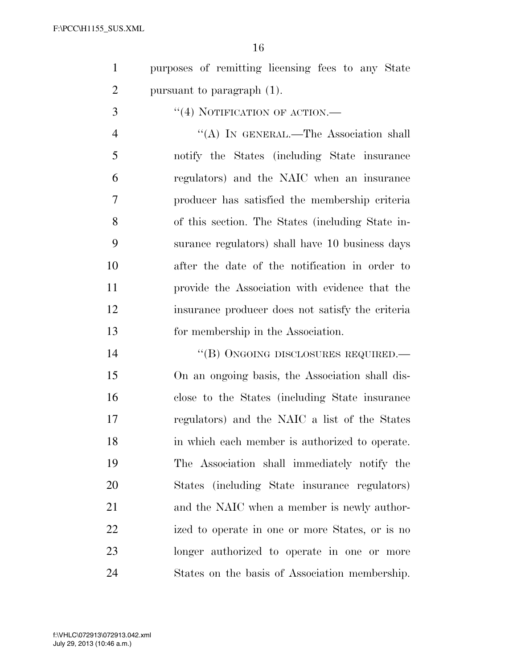purposes of remitting licensing fees to any State pursuant to paragraph (1).

''(4) NOTIFICATION OF ACTION.—

4 "(A) In GENERAL.—The Association shall notify the States (including State insurance regulators) and the NAIC when an insurance producer has satisfied the membership criteria of this section. The States (including State in- surance regulators) shall have 10 business days after the date of the notification in order to provide the Association with evidence that the insurance producer does not satisfy the criteria for membership in the Association.

14 "(B) ONGOING DISCLOSURES REQUIRED.— On an ongoing basis, the Association shall dis- close to the States (including State insurance regulators) and the NAIC a list of the States in which each member is authorized to operate. The Association shall immediately notify the States (including State insurance regulators) 21 and the NAIC when a member is newly author- ized to operate in one or more States, or is no longer authorized to operate in one or more States on the basis of Association membership.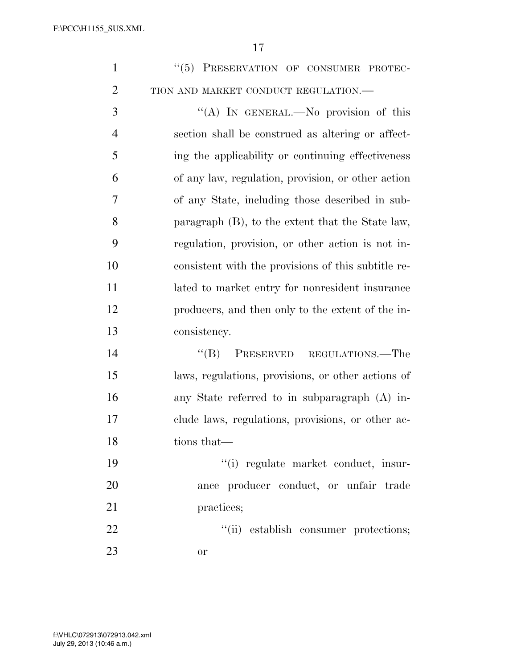| $\mathbf{1}$   | "(5) PRESERVATION OF CONSUMER PROTEC-               |
|----------------|-----------------------------------------------------|
| $\overline{2}$ | TION AND MARKET CONDUCT REGULATION.-                |
| 3              | "(A) IN GENERAL.—No provision of this               |
| $\overline{4}$ | section shall be construed as altering or affect-   |
| 5              | ing the applicability or continuing effectiveness   |
| 6              | of any law, regulation, provision, or other action  |
| 7              | of any State, including those described in sub-     |
| 8              | paragraph (B), to the extent that the State law,    |
| 9              | regulation, provision, or other action is not in-   |
| 10             | consistent with the provisions of this subtitle re- |
| 11             | lated to market entry for nonresident insurance     |
| 12             | producers, and then only to the extent of the in-   |
| 13             | consistency.                                        |
| 14             | PRESERVED REGULATIONS.—The<br>$\lq\lq (B)$          |
| 15             | laws, regulations, provisions, or other actions of  |
| 16             | any State referred to in subparagraph (A) in-       |
| 17             | clude laws, regulations, provisions, or other ac-   |
| 18             | tions that—                                         |
| 19             | "(i) regulate market conduct, insur-                |
| 20             | ance producer conduct, or unfair trade              |
| 21             | practices;                                          |
| 22             | "(ii) establish consumer protections;               |
| 23             | or                                                  |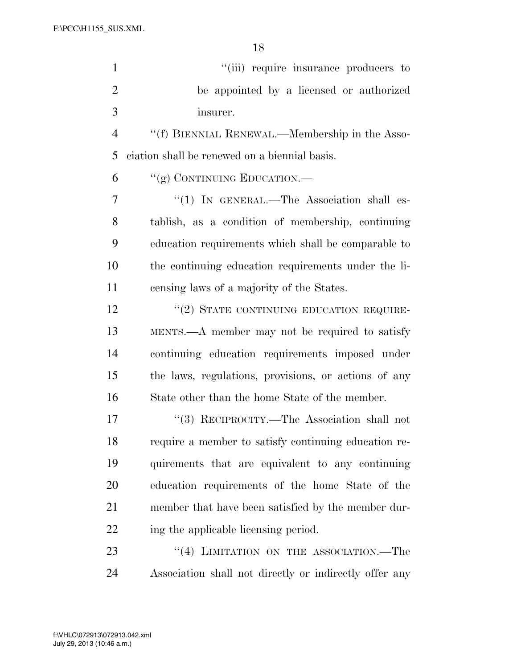| $\mathbf{1}$   | "(iii) require insurance producers to                  |
|----------------|--------------------------------------------------------|
| $\overline{2}$ | be appointed by a licensed or authorized               |
| 3              | insurer.                                               |
| $\overline{4}$ | "(f) BIENNIAL RENEWAL.—Membership in the Asso-         |
| 5              | ciation shall be renewed on a biennial basis.          |
| 6              | "(g) CONTINUING EDUCATION.—                            |
| 7              | " $(1)$ IN GENERAL.—The Association shall es-          |
| 8              | tablish, as a condition of membership, continuing      |
| 9              | education requirements which shall be comparable to    |
| 10             | the continuing education requirements under the li-    |
| 11             | censing laws of a majority of the States.              |
| 12             | "(2) STATE CONTINUING EDUCATION REQUIRE-               |
| 13             | MENTS.—A member may not be required to satisfy         |
| 14             | continuing education requirements imposed under        |
| 15             | the laws, regulations, provisions, or actions of any   |
| 16             | State other than the home State of the member.         |
| 17             | "(3) RECIPROCITY.—The Association shall not            |
| 18             | require a member to satisfy continuing education re-   |
| 19             | quirements that are equivalent to any continuing       |
| 20             | education requirements of the home State of the        |
| 21             | member that have been satisfied by the member dur-     |
| 22             | ing the applicable licensing period.                   |
| 23             | "(4) LIMITATION ON THE ASSOCIATION.—The                |
| 24             | Association shall not directly or indirectly offer any |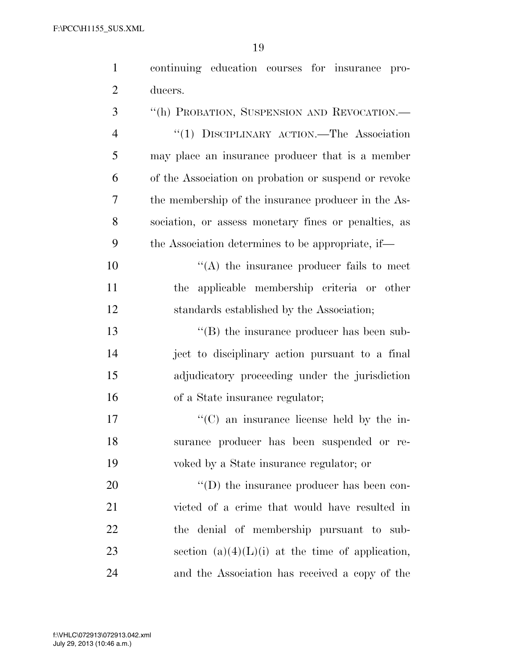| $\mathbf{1}$   | continuing education courses for insurance pro-      |
|----------------|------------------------------------------------------|
| $\overline{2}$ | ducers.                                              |
| 3              | "(h) PROBATION, SUSPENSION AND REVOCATION.-          |
| $\overline{4}$ | "(1) DISCIPLINARY ACTION.—The Association            |
| 5              | may place an insurance producer that is a member     |
| 6              | of the Association on probation or suspend or revoke |
| 7              | the membership of the insurance producer in the As-  |
| 8              | sociation, or assess monetary fines or penalties, as |
| 9              | the Association determines to be appropriate, if—    |
| 10             | $\lq\lq$ the insurance producer fails to meet        |
| 11             | applicable membership criteria or other<br>the       |
| 12             | standards established by the Association;            |
| 13             | $\lq\lq$ the insurance producer has been sub-        |
| 14             | ject to disciplinary action pursuant to a final      |
| 15             | adjudicatory proceeding under the jurisdiction       |
| 16             | of a State insurance regulator;                      |
| 17             | "(C) an insurance license held by the in-            |
| 18             | surance producer has been suspended or re-           |
| 19             | voked by a State insurance regulator; or             |
| 20             | $\lq\lq$ (D) the insurance producer has been con-    |
| 21             | victed of a crime that would have resulted in        |
| 22             | the denial of membership pursuant to sub-            |
| 23             | section $(a)(4)(L)(i)$ at the time of application,   |
| 24             | and the Association has received a copy of the       |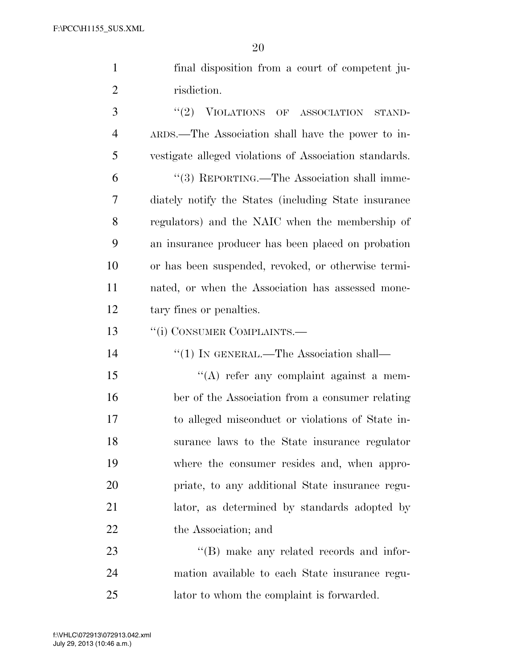|                | ∠∪                                                     |
|----------------|--------------------------------------------------------|
| $\mathbf{1}$   | final disposition from a court of competent ju-        |
| $\overline{2}$ | risdiction.                                            |
| 3              | (2)<br>VIOLATIONS OF ASSOCIATION<br>STAND-             |
| $\overline{4}$ | ARDS.—The Association shall have the power to in-      |
| 5              | vestigate alleged violations of Association standards. |
| 6              | "(3) REPORTING.—The Association shall imme-            |
| 7              | diately notify the States (including State insurance)  |
| 8              | regulators) and the NAIC when the membership of        |
| 9              | an insurance producer has been placed on probation     |
| 10             | or has been suspended, revoked, or otherwise termi-    |
| 11             | nated, or when the Association has assessed mone-      |
| 12             | tary fines or penalties.                               |
| 13             | "(i) CONSUMER COMPLAINTS.—                             |
| 14             | $\lq(1)$ In GENERAL.—The Association shall—            |
| 15             | $\lq\lq$ refer any complaint against a mem-            |
| 16             | ber of the Association from a consumer relating        |
| 17             | to alleged misconduct or violations of State in-       |
| 18             | surance laws to the State insurance regulator          |
| 19             | where the consumer resides and, when appro-            |

 priate, to any additional State insurance regu- lator, as determined by standards adopted by 22 the Association; and

23 ''(B) make any related records and infor- mation available to each State insurance regu-lator to whom the complaint is forwarded.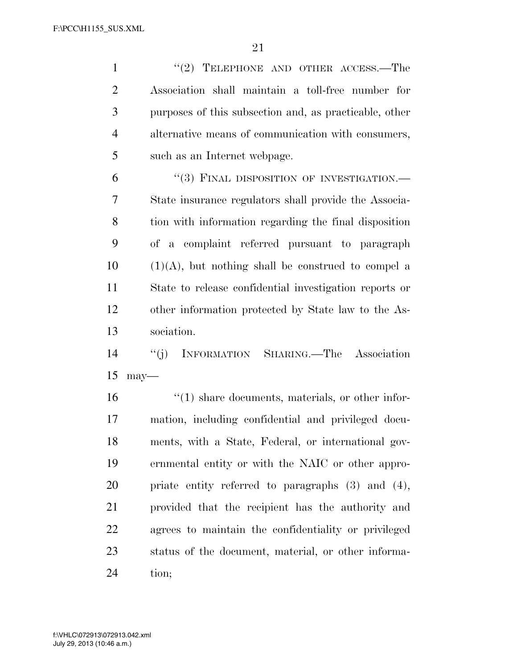1 ''(2) TELEPHONE AND OTHER ACCESS.—The Association shall maintain a toll-free number for purposes of this subsection and, as practicable, other alternative means of communication with consumers, such as an Internet webpage.

6 "(3) FINAL DISPOSITION OF INVESTIGATION.— State insurance regulators shall provide the Associa- tion with information regarding the final disposition of a complaint referred pursuant to paragraph (1)(A), but nothing shall be construed to compel a State to release confidential investigation reports or other information protected by State law to the As-sociation.

 ''(j) INFORMATION SHARING.—The Association may—

16 ''(1) share documents, materials, or other infor- mation, including confidential and privileged docu- ments, with a State, Federal, or international gov- ernmental entity or with the NAIC or other appro- priate entity referred to paragraphs (3) and (4), provided that the recipient has the authority and agrees to maintain the confidentiality or privileged status of the document, material, or other informa-tion;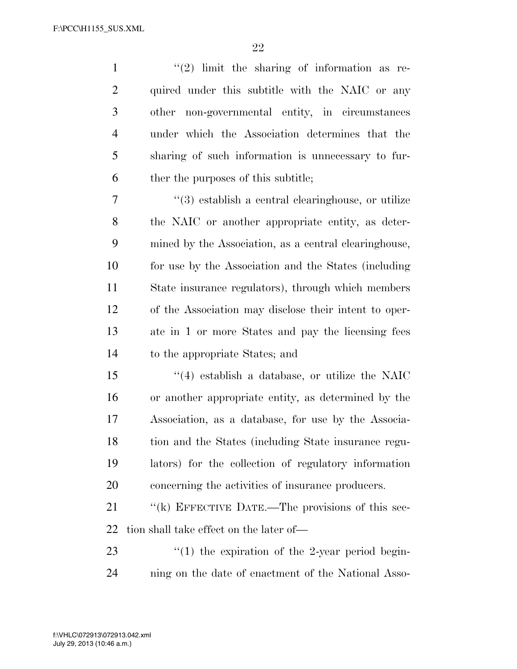$\frac{1}{2}$  ''(2) limit the sharing of information as re- quired under this subtitle with the NAIC or any other non-governmental entity, in circumstances under which the Association determines that the sharing of such information is unnecessary to fur-ther the purposes of this subtitle;

 ''(3) establish a central clearinghouse, or utilize the NAIC or another appropriate entity, as deter- mined by the Association, as a central clearinghouse, for use by the Association and the States (including State insurance regulators), through which members of the Association may disclose their intent to oper- ate in 1 or more States and pay the licensing fees to the appropriate States; and

 ''(4) establish a database, or utilize the NAIC or another appropriate entity, as determined by the Association, as a database, for use by the Associa- tion and the States (including State insurance regu- lators) for the collection of regulatory information concerning the activities of insurance producers.

21 "(k) EFFECTIVE DATE.—The provisions of this sec-tion shall take effect on the later of—

23  $\frac{1}{2}$  (1) the expiration of the 2-year period begin-ning on the date of enactment of the National Asso-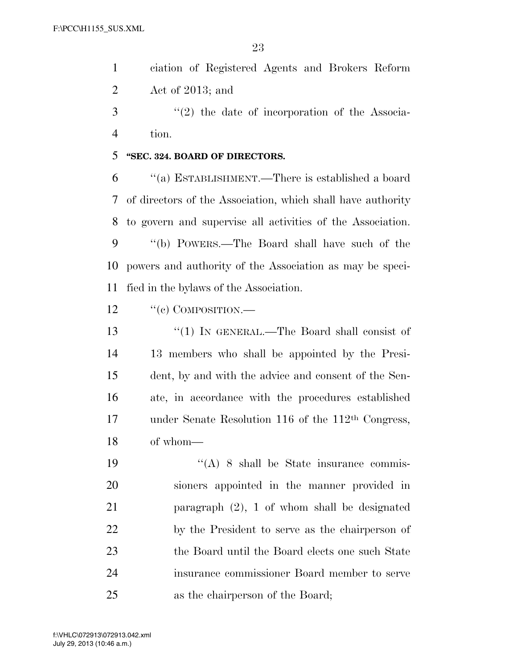ciation of Registered Agents and Brokers Reform Act of 2013; and

3 ''(2) the date of incorporation of the Associa-tion.

### **''SEC. 324. BOARD OF DIRECTORS.**

 ''(a) ESTABLISHMENT.—There is established a board of directors of the Association, which shall have authority to govern and supervise all activities of the Association. ''(b) POWERS.—The Board shall have such of the powers and authority of the Association as may be speci-fied in the bylaws of the Association.

12 "(c) COMPOSITION.—

 ''(1) IN GENERAL.—The Board shall consist of 13 members who shall be appointed by the Presi- dent, by and with the advice and consent of the Sen- ate, in accordance with the procedures established under Senate Resolution 116 of the 112th Congress, of whom—

 ''(A) 8 shall be State insurance commis- sioners appointed in the manner provided in paragraph (2), 1 of whom shall be designated by the President to serve as the chairperson of 23 the Board until the Board elects one such State insurance commissioner Board member to serve as the chairperson of the Board;

 $V_{\rm eff}$  ) and 0.46  $\mu$  2003  $\mu$  -documental  $\mu$  and  $\mu$  and  $\mu$   $\mu$  and  $\mu$   $\mu$ 

July 29, 2013 (10:46 a.m.) f:\VHLC\072913\072913.042.xml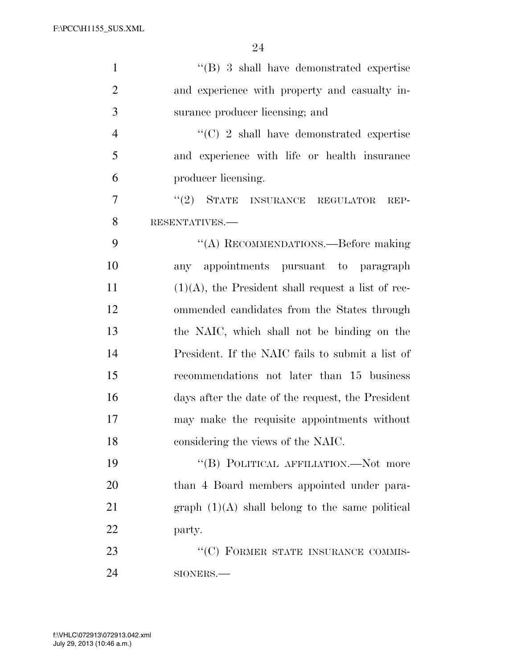| $\mathbf{1}$   | $\cdot$ (B) 3 shall have demonstrated expertise       |
|----------------|-------------------------------------------------------|
| $\overline{2}$ | and experience with property and casualty in-         |
| 3              | surance producer licensing; and                       |
| $\overline{4}$ | $\cdot$ (C) 2 shall have demonstrated expertise       |
| 5              | and experience with life or health insurance          |
| 6              | producer licensing.                                   |
| 7              | "(2) STATE INSURANCE REGULATOR<br>REP-                |
| 8              | RESENTATIVES.-                                        |
| 9              | "(A) RECOMMENDATIONS.—Before making                   |
| 10             | any appointments pursuant to paragraph                |
| 11             | $(1)(A)$ , the President shall request a list of rec- |
| 12             | ommended candidates from the States through           |
| 13             | the NAIC, which shall not be binding on the           |
| 14             | President. If the NAIC fails to submit a list of      |
| 15             | recommendations not later than 15 business            |
| 16             | days after the date of the request, the President     |
| 17             | may make the requisite appointments without           |
| 18             | considering the views of the NAIC.                    |
| 19             | "(B) POLITICAL AFFILIATION.—Not more                  |
| 20             | than 4 Board members appointed under para-            |
| 21             | graph $(1)(A)$ shall belong to the same political     |
| 22             | party.                                                |
| 23             | "(C) FORMER STATE INSURANCE COMMIS-                   |
| 24             | SIONERS.-                                             |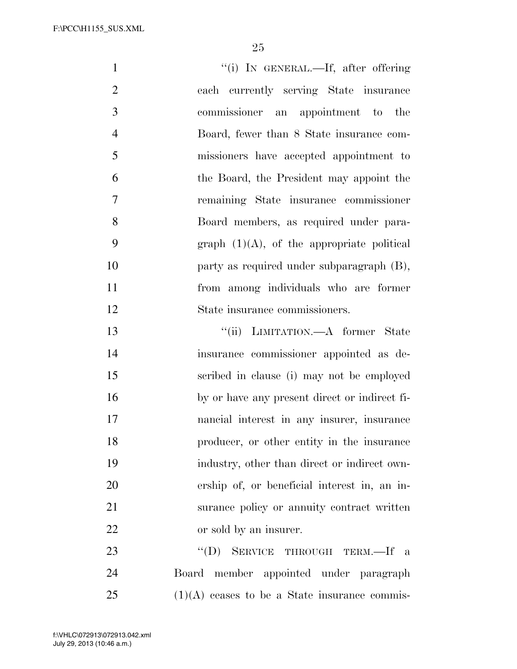| $\mathbf{1}$   | "(i) IN GENERAL.—If, after offering             |
|----------------|-------------------------------------------------|
| $\overline{2}$ | each currently serving State insurance          |
| 3              | commissioner an appointment to the              |
| $\overline{4}$ | Board, fewer than 8 State insurance com-        |
| 5              | missioners have accepted appointment to         |
| 6              | the Board, the President may appoint the        |
| 7              | remaining State insurance commissioner          |
| 8              | Board members, as required under para-          |
| 9              | graph $(1)(A)$ , of the appropriate political   |
| 10             | party as required under subparagraph (B),       |
| 11             | from among individuals who are former           |
| 12             | State insurance commissioners.                  |
| 13             | "(ii) LIMITATION.—A former State                |
| 14             | insurance commissioner appointed as de-         |
| 15             | scribed in clause (i) may not be employed       |
| 16             | by or have any present direct or indirect fi-   |
| 17             | nancial interest in any insurer, insurance      |
| 18             | producer, or other entity in the insurance      |
| 19             | industry, other than direct or indirect own-    |
| 20             | ership of, or beneficial interest in, an in-    |
| 21             | surance policy or annuity contract written      |
| 22             | or sold by an insurer.                          |
| 23             | $\lq\lq (D)$<br>SERVICE THROUGH TERM.—If a      |
| 24             | Board member appointed under paragraph          |
| 25             | $(1)(A)$ ceases to be a State insurance commis- |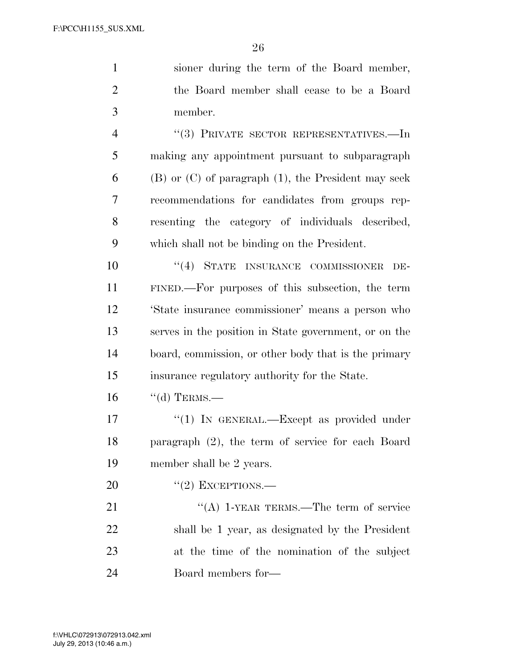| $\mathbf{1}$   | sioner during the term of the Board member,                |
|----------------|------------------------------------------------------------|
| $\overline{2}$ | the Board member shall cease to be a Board                 |
| 3              | member.                                                    |
| $\overline{4}$ | $``(3)$ PRIVATE SECTOR REPRESENTATIVES.—In                 |
| 5              | making any appointment pursuant to subparagraph            |
| 6              | $(B)$ or $(C)$ of paragraph $(1)$ , the President may seek |
| 7              | recommendations for candidates from groups rep-            |
| 8              | resenting the category of individuals described,           |
| 9              | which shall not be binding on the President.               |
| 10             | "(4) STATE INSURANCE COMMISSIONER<br>DE-                   |
| 11             | FINED.—For purposes of this subsection, the term           |
| 12             | 'State insurance commissioner' means a person who          |
| 13             | serves in the position in State government, or on the      |
| 14             | board, commission, or other body that is the primary       |
| 15             | insurance regulatory authority for the State.              |
| 16             | $\lq\lq$ TERMS.—                                           |
| 17             | "(1) IN GENERAL.—Except as provided under                  |
| 18             | paragraph (2), the term of service for each Board          |
| 19             | member shall be 2 years.                                   |
| 20             | $``(2)$ EXCEPTIONS.—                                       |
| 21             | "(A) 1-YEAR TERMS.—The term of service                     |
| 22             | shall be 1 year, as designated by the President            |
| 23             | at the time of the nomination of the subject               |
| 24             | Board members for—                                         |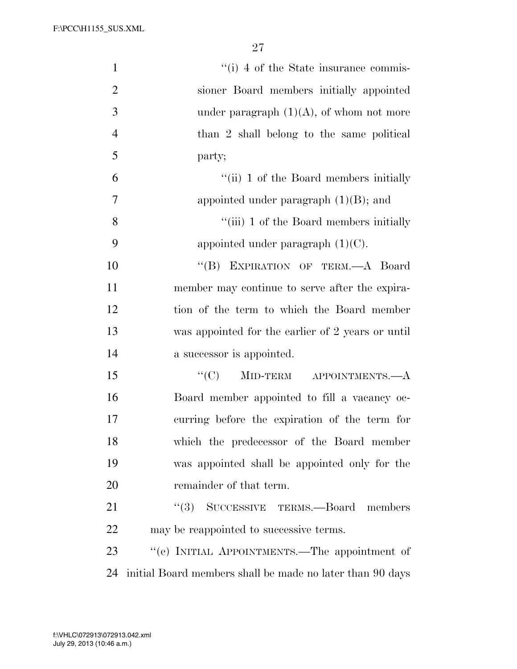| $\mathbf{1}$     | "(i) 4 of the State insurance commis-                     |
|------------------|-----------------------------------------------------------|
| $\overline{2}$   | sioner Board members initially appointed                  |
| 3                | under paragraph $(1)(A)$ , of whom not more               |
| $\overline{4}$   | than 2 shall belong to the same political                 |
| 5                | party;                                                    |
| 6                | "(ii) 1 of the Board members initially                    |
| $\boldsymbol{7}$ | appointed under paragraph $(1)(B)$ ; and                  |
| 8                | "(iii) 1 of the Board members initially                   |
| 9                | appointed under paragraph $(1)(C)$ .                      |
| 10               | "(B) EXPIRATION OF TERM.-A Board                          |
| 11               | member may continue to serve after the expira-            |
| 12               | tion of the term to which the Board member                |
| 13               | was appointed for the earlier of 2 years or until         |
| 14               | a successor is appointed.                                 |
| 15               | "(C) MID-TERM APPOINTMENTS.— $A$                          |
| 16               | Board member appointed to fill a vacancy oc-              |
| 17               | curring before the expiration of the term for             |
| 18               | which the predecessor of the Board member                 |
| 19               | was appointed shall be appointed only for the             |
| 20               | remainder of that term.                                   |
| 21               | ``(3)<br>SUCCESSIVE TERMS.-Board members                  |
| 22               | may be reappointed to successive terms.                   |
| 23               | "(e) INITIAL APPOINTMENTS.—The appointment of             |
| 24               | initial Board members shall be made no later than 90 days |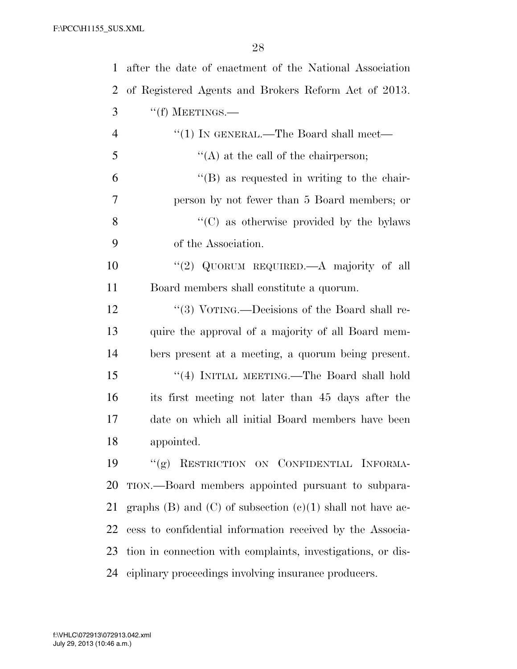| $\mathbf{1}$ | after the date of enactment of the National Association          |
|--------------|------------------------------------------------------------------|
| 2            | of Registered Agents and Brokers Reform Act of 2013.             |
| 3            | $``(f)$ MEETINGS.—                                               |
| 4            | "(1) IN GENERAL.—The Board shall meet—                           |
| 5            | $\lq\lq$ at the call of the chairperson;                         |
| 6            | "(B) as requested in writing to the chair-                       |
| 7            | person by not fewer than 5 Board members; or                     |
| 8            | $\cdot\cdot$ (C) as otherwise provided by the bylaws             |
| 9            | of the Association.                                              |
| 10           | "(2) QUORUM REQUIRED.—A majority of all                          |
| 11           | Board members shall constitute a quorum.                         |
| 12           | "(3) VOTING.—Decisions of the Board shall re-                    |
| 13           | quire the approval of a majority of all Board mem-               |
| 14           | bers present at a meeting, a quorum being present.               |
| 15           | "(4) INITIAL MEETING.—The Board shall hold                       |
| 16           | its first meeting not later than 45 days after the               |
| 17           | date on which all initial Board members have been                |
| 18           | appointed.                                                       |
| 19           | "(g) RESTRICTION ON CONFIDENTIAL INFORMA-                        |
| 20           | TION.—Board members appointed pursuant to subpara-               |
| 21           | graphs $(B)$ and $(C)$ of subsection $(e)(1)$ shall not have ac- |
| 22           | cess to confidential information received by the Associa-        |
| 23           | tion in connection with complaints, investigations, or dis-      |
| 24           | ciplinary proceedings involving insurance producers.             |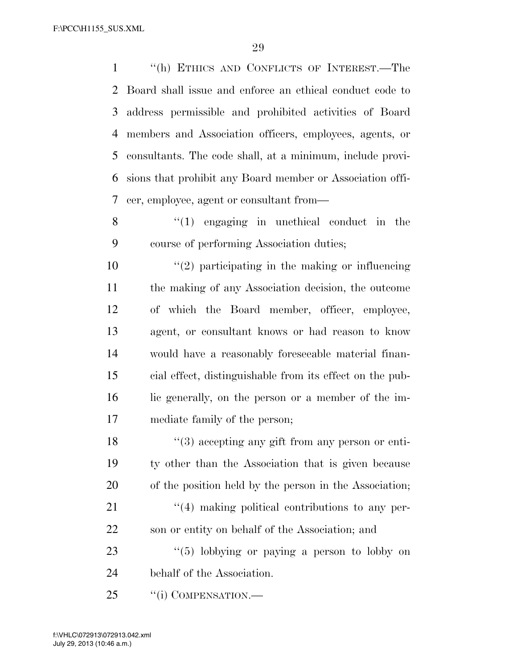''(h) ETHICS AND CONFLICTS OF INTEREST.—The Board shall issue and enforce an ethical conduct code to address permissible and prohibited activities of Board members and Association officers, employees, agents, or consultants. The code shall, at a minimum, include provi- sions that prohibit any Board member or Association offi-cer, employee, agent or consultant from—

8 "(1) engaging in unethical conduct in the course of performing Association duties;

 $\frac{1}{2}$  participating in the making or influencing the making of any Association decision, the outcome of which the Board member, officer, employee, agent, or consultant knows or had reason to know would have a reasonably foreseeable material finan- cial effect, distinguishable from its effect on the pub- lic generally, on the person or a member of the im-mediate family of the person;

18 ''(3) accepting any gift from any person or enti- ty other than the Association that is given because of the position held by the person in the Association;  $\frac{4}{4}$  making political contributions to any per-son or entity on behalf of the Association; and

23 "(5) lobbying or paying a person to lobby on behalf of the Association.

25 "(i) COMPENSATION.—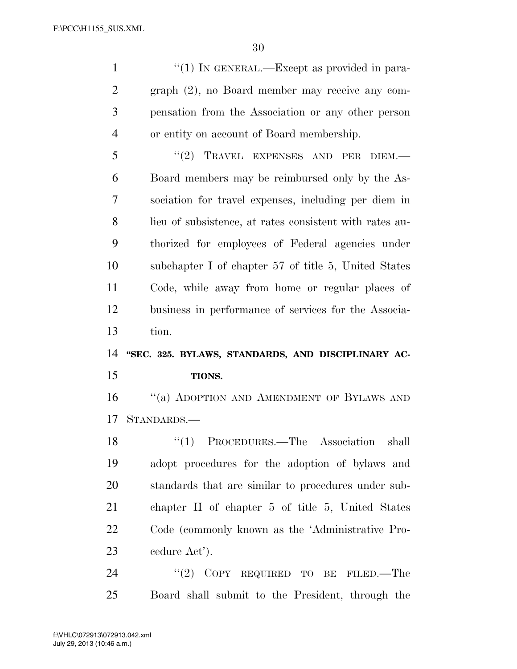$\frac{1}{1}$  IN GENERAL.—Except as provided in para- graph (2), no Board member may receive any com- pensation from the Association or any other person or entity on account of Board membership.

5 "(2) TRAVEL EXPENSES AND PER DIEM.— Board members may be reimbursed only by the As- sociation for travel expenses, including per diem in lieu of subsistence, at rates consistent with rates au- thorized for employees of Federal agencies under subchapter I of chapter 57 of title 5, United States Code, while away from home or regular places of business in performance of services for the Associa-tion.

# **''SEC. 325. BYLAWS, STANDARDS, AND DISCIPLINARY AC-TIONS.**

16 "(a) ADOPTION AND AMENDMENT OF BYLAWS AND STANDARDS.—

18 "(1) PROCEDURES.—The Association shall adopt procedures for the adoption of bylaws and standards that are similar to procedures under sub- chapter II of chapter 5 of title 5, United States Code (commonly known as the 'Administrative Pro-cedure Act').

24 "(2) COPY REQUIRED TO BE FILED.—The Board shall submit to the President, through the

 $V_{\rm eff}$  ) and 00000  $P_{\rm eff}$  is a state of the documental  $\Delta$  . The documental  $\Delta$  is a state of the documental  $\Delta$ July 29, 2013 (10:46 a.m.) f:\VHLC\072913\072913.042.xml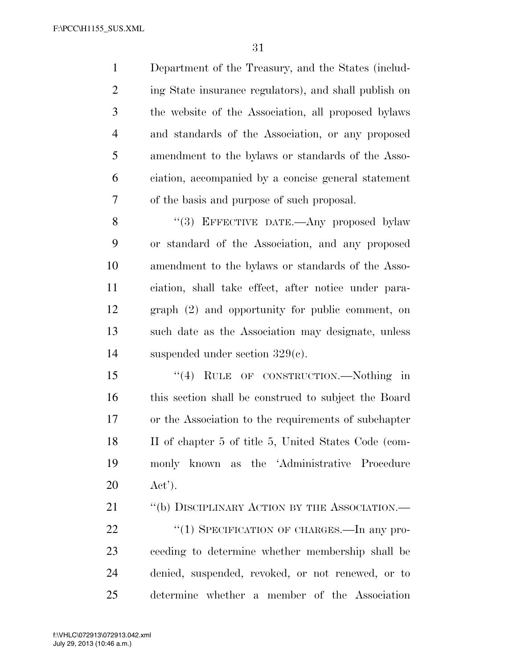Department of the Treasury, and the States (includ- ing State insurance regulators), and shall publish on the website of the Association, all proposed bylaws and standards of the Association, or any proposed amendment to the bylaws or standards of the Asso- ciation, accompanied by a concise general statement of the basis and purpose of such proposal.

8 "(3) EFFECTIVE DATE.—Any proposed bylaw or standard of the Association, and any proposed amendment to the bylaws or standards of the Asso- ciation, shall take effect, after notice under para- graph (2) and opportunity for public comment, on such date as the Association may designate, unless suspended under section 329(c).

15 "(4) RULE OF CONSTRUCTION.—Nothing in this section shall be construed to subject the Board or the Association to the requirements of subchapter II of chapter 5 of title 5, United States Code (com- monly known as the 'Administrative Procedure Act').

21 "(b) DISCIPLINARY ACTION BY THE ASSOCIATION.— 22 "(1) SPECIFICATION OF CHARGES.—In any pro- ceeding to determine whether membership shall be denied, suspended, revoked, or not renewed, or to determine whether a member of the Association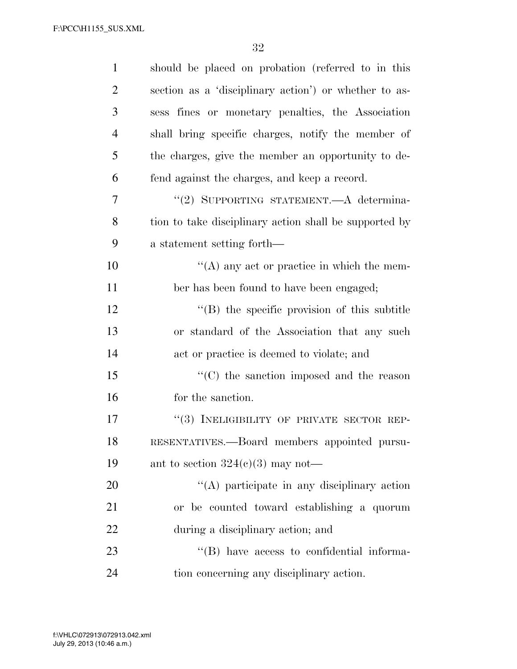| $\mathbf{1}$   | should be placed on probation (referred to in this     |
|----------------|--------------------------------------------------------|
| $\overline{2}$ | section as a 'disciplinary action') or whether to as-  |
| 3              | sess fines or monetary penalties, the Association      |
| $\overline{4}$ | shall bring specific charges, notify the member of     |
| 5              | the charges, give the member an opportunity to de-     |
| 6              | fend against the charges, and keep a record.           |
| 7              | "(2) SUPPORTING STATEMENT.—A determina-                |
| 8              | tion to take disciplinary action shall be supported by |
| 9              | a statement setting forth—                             |
| 10             | $\lq\lq$ any act or practice in which the mem-         |
| 11             | ber has been found to have been engaged;               |
| 12             | $\lq\lq$ the specific provision of this subtitle       |
| 13             | or standard of the Association that any such           |
| 14             | act or practice is deemed to violate; and              |
| 15             | "(C) the sanction imposed and the reason               |
| 16             | for the sanction.                                      |
| 17             | "(3) INELIGIBILITY OF PRIVATE SECTOR REP-              |
| 18             | RESENTATIVES.--Board members appointed pursu-          |
| 19             | ant to section $324(c)(3)$ may not—                    |
| 20             | "(A) participate in any disciplinary action            |
| 21             | or be counted toward establishing a quorum             |
| 22             | during a disciplinary action; and                      |
| 23             | $\lq\lq$ (B) have access to confidential informa-      |
| 24             | tion concerning any disciplinary action.               |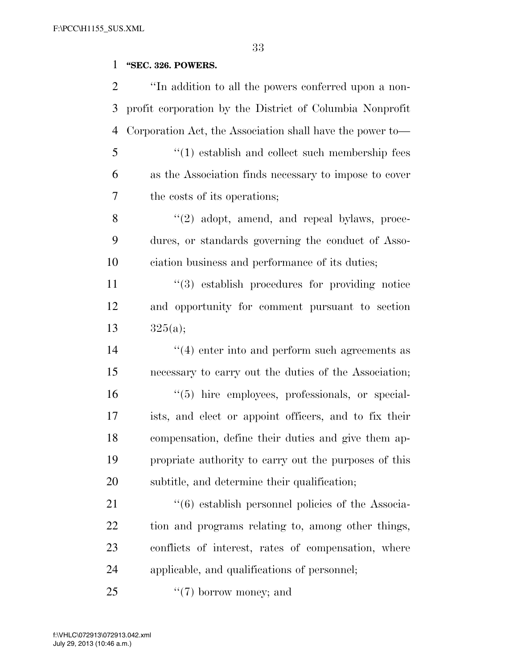# **''SEC. 326. POWERS.**

| $\overline{2}$ | "In addition to all the powers conferred upon a non-      |
|----------------|-----------------------------------------------------------|
| 3              | profit corporation by the District of Columbia Nonprofit  |
| 4              | Corporation Act, the Association shall have the power to- |
| 5              | $\cdot$ (1) establish and collect such membership fees    |
| 6              | as the Association finds necessary to impose to cover     |
| 7              | the costs of its operations;                              |
| 8              | "(2) adopt, amend, and repeal bylaws, proce-              |
| 9              | dures, or standards governing the conduct of Asso-        |
| 10             | ciation business and performance of its duties;           |
| 11             | $\lq(3)$ establish procedures for providing notice        |
| 12             | and opportunity for comment pursuant to section           |
| 13             | 325(a);                                                   |
| 14             | $\cdot$ (4) enter into and perform such agreements as     |
| 15             | necessary to carry out the duties of the Association;     |
| 16             | $\lq(5)$ hire employees, professionals, or special-       |
| 17             | ists, and elect or appoint officers, and to fix their     |
| 18             | compensation, define their duties and give them ap-       |
| 19             | propriate authority to carry out the purposes of this     |
| 20             | subtitle, and determine their qualification;              |
| 21             | "(6) establish personnel policies of the Associa-         |
| 22             | tion and programs relating to, among other things,        |
| 23             | conflicts of interest, rates of compensation, where       |
| 24             | applicable, and qualifications of personnel;              |
| 25             | $\lq(7)$ borrow money; and                                |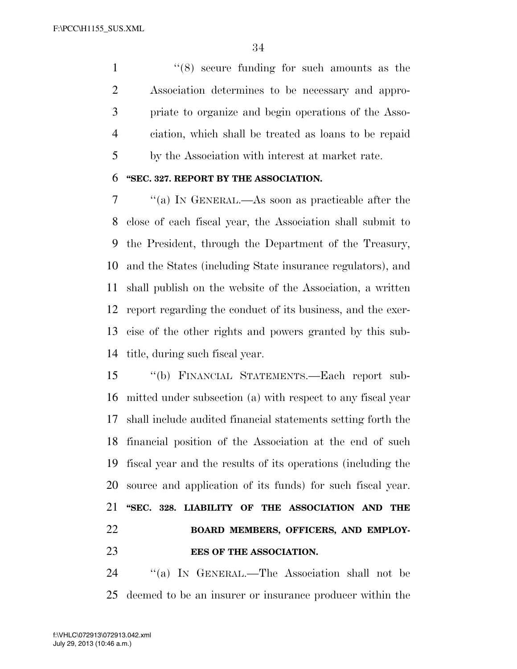1 ''(8) secure funding for such amounts as the Association determines to be necessary and appro- priate to organize and begin operations of the Asso- ciation, which shall be treated as loans to be repaid by the Association with interest at market rate.

### **''SEC. 327. REPORT BY THE ASSOCIATION.**

 ''(a) IN GENERAL.—As soon as practicable after the close of each fiscal year, the Association shall submit to the President, through the Department of the Treasury, and the States (including State insurance regulators), and shall publish on the website of the Association, a written report regarding the conduct of its business, and the exer- cise of the other rights and powers granted by this sub-title, during such fiscal year.

 ''(b) FINANCIAL STATEMENTS.—Each report sub- mitted under subsection (a) with respect to any fiscal year shall include audited financial statements setting forth the financial position of the Association at the end of such fiscal year and the results of its operations (including the source and application of its funds) for such fiscal year. **''SEC. 328. LIABILITY OF THE ASSOCIATION AND THE BOARD MEMBERS, OFFICERS, AND EMPLOY-EES OF THE ASSOCIATION.** 

 ''(a) IN GENERAL.—The Association shall not be deemed to be an insurer or insurance producer within the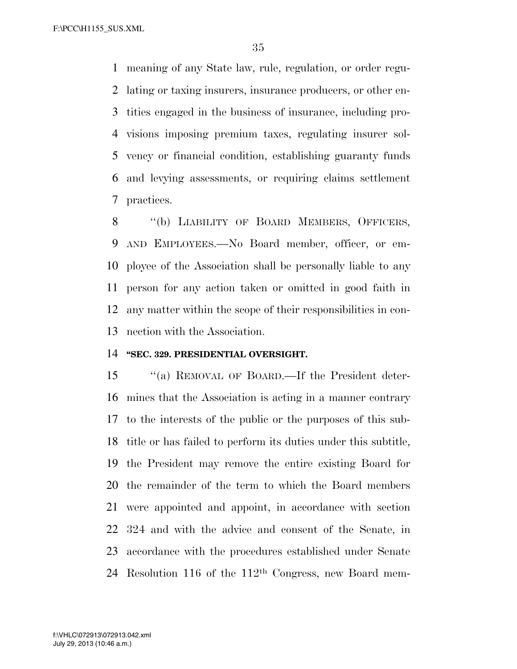meaning of any State law, rule, regulation, or order regu- lating or taxing insurers, insurance producers, or other en- tities engaged in the business of insurance, including pro- visions imposing premium taxes, regulating insurer sol- vency or financial condition, establishing guaranty funds and levying assessments, or requiring claims settlement practices.

8 "(b) LIABILITY OF BOARD MEMBERS, OFFICERS, AND EMPLOYEES.—No Board member, officer, or em- ployee of the Association shall be personally liable to any person for any action taken or omitted in good faith in any matter within the scope of their responsibilities in con-nection with the Association.

### **''SEC. 329. PRESIDENTIAL OVERSIGHT.**

 ''(a) REMOVAL OF BOARD.—If the President deter- mines that the Association is acting in a manner contrary to the interests of the public or the purposes of this sub- title or has failed to perform its duties under this subtitle, the President may remove the entire existing Board for the remainder of the term to which the Board members were appointed and appoint, in accordance with section 324 and with the advice and consent of the Senate, in accordance with the procedures established under Senate Resolution 116 of the 112th Congress, new Board mem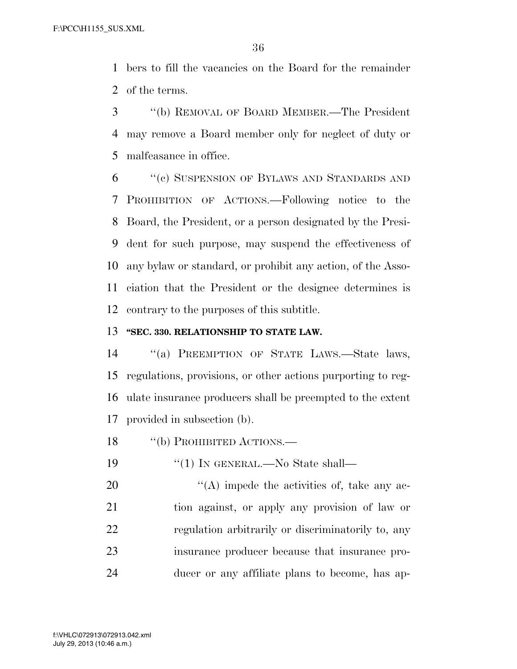bers to fill the vacancies on the Board for the remainder of the terms.

 ''(b) REMOVAL OF BOARD MEMBER.—The President may remove a Board member only for neglect of duty or malfeasance in office.

 ''(c) SUSPENSION OF BYLAWS AND STANDARDS AND PROHIBITION OF ACTIONS.—Following notice to the Board, the President, or a person designated by the Presi- dent for such purpose, may suspend the effectiveness of any bylaw or standard, or prohibit any action, of the Asso- ciation that the President or the designee determines is contrary to the purposes of this subtitle.

### **''SEC. 330. RELATIONSHIP TO STATE LAW.**

 ''(a) PREEMPTION OF STATE LAWS.—State laws, regulations, provisions, or other actions purporting to reg- ulate insurance producers shall be preempted to the extent provided in subsection (b).

18 "(b) PROHIBITED ACTIONS.—

19 "(1) In GENERAL.—No State shall—

 ''(A) impede the activities of, take any ac- tion against, or apply any provision of law or regulation arbitrarily or discriminatorily to, any insurance producer because that insurance pro-ducer or any affiliate plans to become, has ap-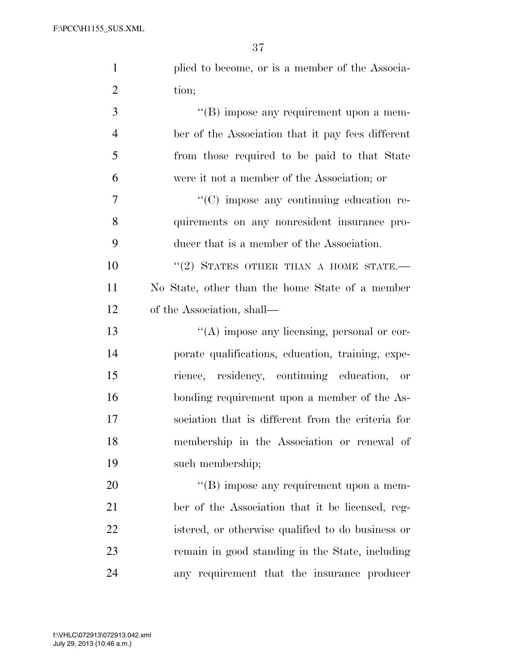| $\mathbf{1}$   | plied to become, or is a member of the Associa-   |
|----------------|---------------------------------------------------|
| $\overline{2}$ | tion;                                             |
| 3              | "(B) impose any requirement upon a mem-           |
| $\overline{4}$ | ber of the Association that it pay fees different |
| 5              | from those required to be paid to that State      |
| 6              | were it not a member of the Association; or       |
| $\overline{7}$ | "(C) impose any continuing education re-          |
| 8              | quirements on any nonresident insurance pro-      |
| 9              | ducer that is a member of the Association.        |
| 10             | $``(2)$ STATES OTHER THAN A HOME STATE.           |
| 11             | No State, other than the home State of a member   |
| 12             | of the Association, shall—                        |
| 13             | $\lq\lq$ impose any licensing, personal or cor-   |
| 14             | porate qualifications, education, training, expe- |
| 15             | rience, residency, continuing education, or       |
| 16             | bonding requirement upon a member of the As-      |
| 17             | sociation that is different from the criteria for |
| 18             | membership in the Association or renewal of       |
| 19             | such membership;                                  |
| 20             | $\lq\lq$ impose any requirement upon a mem-       |
| 21             | ber of the Association that it be licensed, reg-  |
| 22             | istered, or otherwise qualified to do business or |
| 23             | remain in good standing in the State, including   |
| 24             | any requirement that the insurance producer       |

 $V_{\rm eff}$  and  $V_{\rm eff}$  Fm  $\sim$  2013  $\mu$   $\sim$  2013  $\mu$   $\sim$  1.4652  $\mu$  m  $\sim$  1.5.5  $\mu$ July 29, 2013 (10:46 a.m.) f:\VHLC\072913\072913.042.xml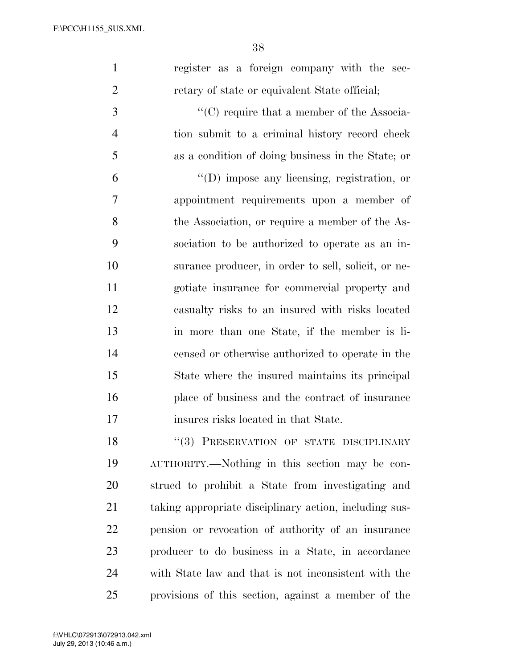|  |  | register as a foreign company with the sec-   |  |  |
|--|--|-----------------------------------------------|--|--|
|  |  | retary of state or equivalent State official; |  |  |

3  $\cdot$  (C) require that a member of the Associa- tion submit to a criminal history record check as a condition of doing business in the State; or

 ''(D) impose any licensing, registration, or appointment requirements upon a member of the Association, or require a member of the As- sociation to be authorized to operate as an in- surance producer, in order to sell, solicit, or ne- gotiate insurance for commercial property and casualty risks to an insured with risks located in more than one State, if the member is li- censed or otherwise authorized to operate in the State where the insured maintains its principal place of business and the contract of insurance insures risks located in that State.

18 "(3) PRESERVATION OF STATE DISCIPLINARY AUTHORITY.—Nothing in this section may be con- strued to prohibit a State from investigating and taking appropriate disciplinary action, including sus- pension or revocation of authority of an insurance producer to do business in a State, in accordance with State law and that is not inconsistent with the provisions of this section, against a member of the

 $V_{\rm eff}$  ) and 0.46  $\mu$  -Date 0.46  $\mu$  and  $\mu$  and  $\mu$  and  $\mu$  and  $\mu$  is  $\mu$  .  $\mu$  is  $\mu$ 

July 29, 2013 (10:46 a.m.) f:\VHLC\072913\072913.042.xml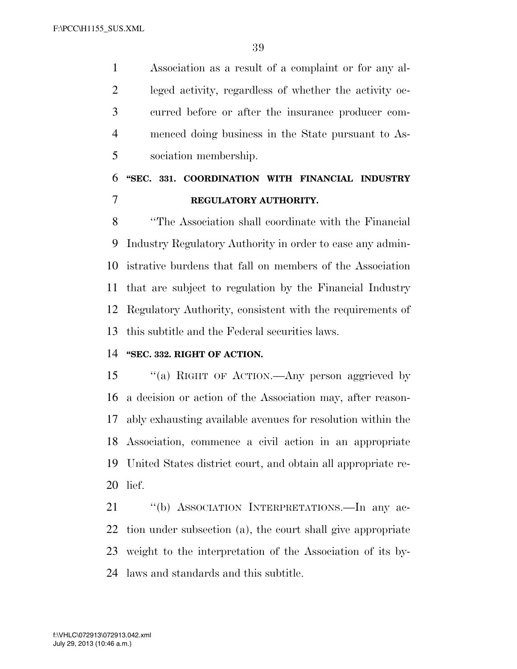Association as a result of a complaint or for any al- leged activity, regardless of whether the activity oc- curred before or after the insurance producer com- menced doing business in the State pursuant to As-sociation membership.

# **''SEC. 331. COORDINATION WITH FINANCIAL INDUSTRY REGULATORY AUTHORITY.**

 ''The Association shall coordinate with the Financial Industry Regulatory Authority in order to ease any admin- istrative burdens that fall on members of the Association that are subject to regulation by the Financial Industry Regulatory Authority, consistent with the requirements of this subtitle and the Federal securities laws.

# **''SEC. 332. RIGHT OF ACTION.**

 ''(a) RIGHT OF ACTION.—Any person aggrieved by a decision or action of the Association may, after reason- ably exhausting available avenues for resolution within the Association, commence a civil action in an appropriate United States district court, and obtain all appropriate re-lief.

 ''(b) ASSOCIATION INTERPRETATIONS.—In any ac- tion under subsection (a), the court shall give appropriate weight to the interpretation of the Association of its by-laws and standards and this subtitle.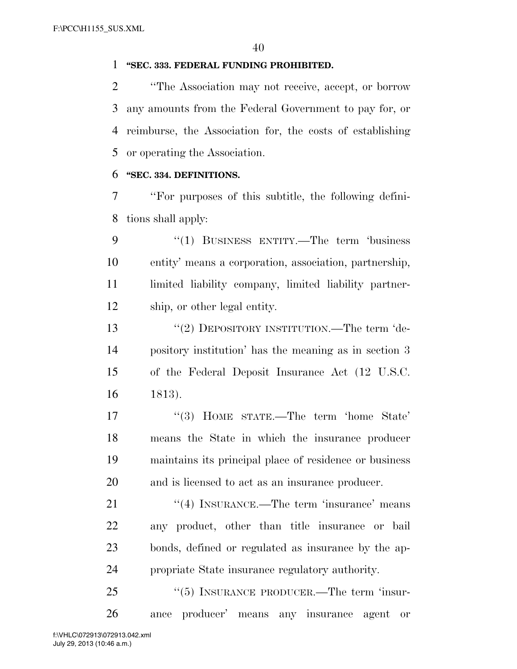### **''SEC. 333. FEDERAL FUNDING PROHIBITED.**

 ''The Association may not receive, accept, or borrow any amounts from the Federal Government to pay for, or reimburse, the Association for, the costs of establishing or operating the Association.

### **''SEC. 334. DEFINITIONS.**

 ''For purposes of this subtitle, the following defini-tions shall apply:

 ''(1) BUSINESS ENTITY.—The term 'business entity' means a corporation, association, partnership, 11 limited liability company, limited liability partner-ship, or other legal entity.

13 "(2) DEPOSITORY INSTITUTION.—The term 'de- pository institution' has the meaning as in section 3 of the Federal Deposit Insurance Act (12 U.S.C. 1813).

17 ''(3) HOME STATE.—The term 'home State' means the State in which the insurance producer maintains its principal place of residence or business and is licensed to act as an insurance producer.

21 ''(4) INSURANCE.—The term 'insurance' means any product, other than title insurance or bail bonds, defined or regulated as insurance by the ap-propriate State insurance regulatory authority.

25 "(5) INSURANCE PRODUCER.—The term 'insur-ance producer' means any insurance agent or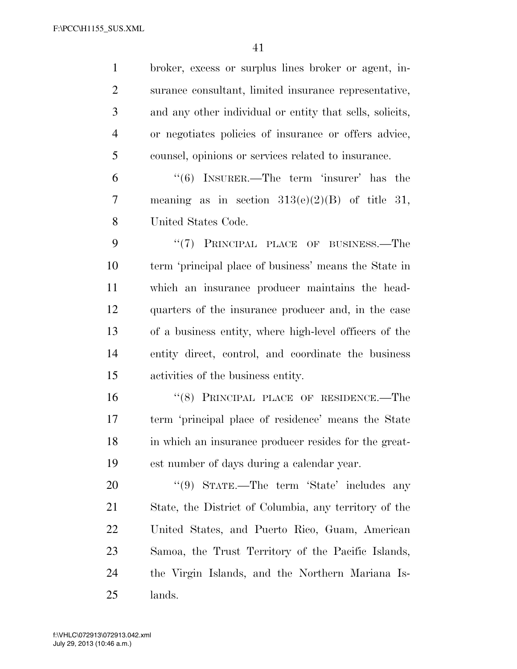broker, excess or surplus lines broker or agent, in- surance consultant, limited insurance representative, and any other individual or entity that sells, solicits, or negotiates policies of insurance or offers advice, counsel, opinions or services related to insurance.

 ''(6) INSURER.—The term 'insurer' has the meaning as in section 313(e)(2)(B) of title 31, United States Code.

9 "(7) PRINCIPAL PLACE OF BUSINESS.—The term 'principal place of business' means the State in which an insurance producer maintains the head- quarters of the insurance producer and, in the case of a business entity, where high-level officers of the entity direct, control, and coordinate the business activities of the business entity.

16 "(8) PRINCIPAL PLACE OF RESIDENCE.—The term 'principal place of residence' means the State in which an insurance producer resides for the great-est number of days during a calendar year.

20 "(9) STATE.—The term 'State' includes any State, the District of Columbia, any territory of the United States, and Puerto Rico, Guam, American Samoa, the Trust Territory of the Pacific Islands, the Virgin Islands, and the Northern Mariana Is-lands.

 $V_{\rm eff}$  ) and 00000  $P_{\rm eff}$  is a state of the documental  $\Delta$  . The documental  $\Delta$  is a state of the documental  $\Delta$